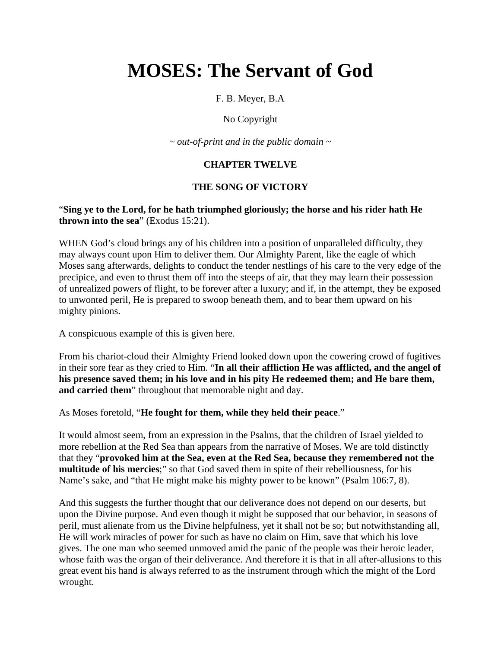# **MOSES: The Servant of God**

F. B. Meyer, B.A

## No Copyright

*~ out-of-print and in the public domain ~* 

## **CHAPTER TWELVE**

## **THE SONG OF VICTORY**

## "**Sing ye to the Lord, for he hath triumphed gloriously; the horse and his rider hath He thrown into the sea**" (Exodus 15:21).

WHEN God's cloud brings any of his children into a position of unparalleled difficulty, they may always count upon Him to deliver them. Our Almighty Parent, like the eagle of which Moses sang afterwards, delights to conduct the tender nestlings of his care to the very edge of the precipice, and even to thrust them off into the steeps of air, that they may learn their possession of unrealized powers of flight, to be forever after a luxury; and if, in the attempt, they be exposed to unwonted peril, He is prepared to swoop beneath them, and to bear them upward on his mighty pinions.

A conspicuous example of this is given here.

From his chariot-cloud their Almighty Friend looked down upon the cowering crowd of fugitives in their sore fear as they cried to Him. "**In all their affliction He was afflicted, and the angel of his presence saved them; in his love and in his pity He redeemed them; and He bare them, and carried them**" throughout that memorable night and day.

As Moses foretold, "**He fought for them, while they held their peace**."

It would almost seem, from an expression in the Psalms, that the children of Israel yielded to more rebellion at the Red Sea than appears from the narrative of Moses. We are told distinctly that they "**provoked him at the Sea, even at the Red Sea, because they remembered not the multitude of his mercies**;" so that God saved them in spite of their rebelliousness, for his Name's sake, and "that He might make his mighty power to be known" (Psalm 106:7, 8).

And this suggests the further thought that our deliverance does not depend on our deserts, but upon the Divine purpose. And even though it might be supposed that our behavior, in seasons of peril, must alienate from us the Divine helpfulness, yet it shall not be so; but notwithstanding all, He will work miracles of power for such as have no claim on Him, save that which his love gives. The one man who seemed unmoved amid the panic of the people was their heroic leader, whose faith was the organ of their deliverance. And therefore it is that in all after-allusions to this great event his hand is always referred to as the instrument through which the might of the Lord wrought.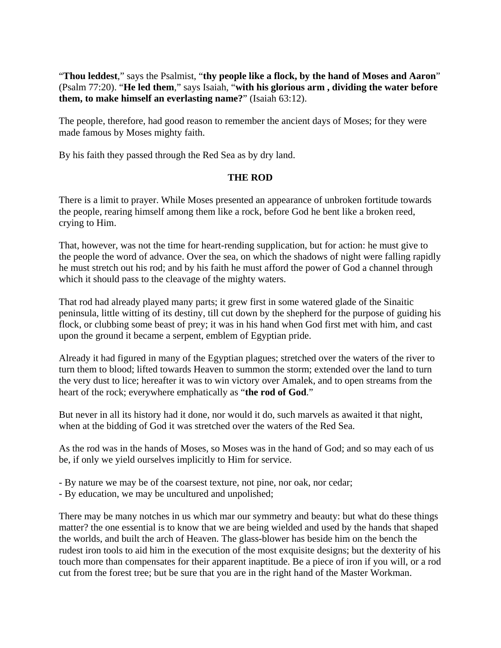"**Thou leddest**," says the Psalmist, "**thy people like a flock, by the hand of Moses and Aaron**" (Psalm 77:20). "**He led them**," says Isaiah, "**with his glorious arm , dividing the water before them, to make himself an everlasting name?**" (Isaiah 63:12).

The people, therefore, had good reason to remember the ancient days of Moses; for they were made famous by Moses mighty faith.

By his faith they passed through the Red Sea as by dry land.

#### **THE ROD**

There is a limit to prayer. While Moses presented an appearance of unbroken fortitude towards the people, rearing himself among them like a rock, before God he bent like a broken reed, crying to Him.

That, however, was not the time for heart-rending supplication, but for action: he must give to the people the word of advance. Over the sea, on which the shadows of night were falling rapidly he must stretch out his rod; and by his faith he must afford the power of God a channel through which it should pass to the cleavage of the mighty waters.

That rod had already played many parts; it grew first in some watered glade of the Sinaitic peninsula, little witting of its destiny, till cut down by the shepherd for the purpose of guiding his flock, or clubbing some beast of prey; it was in his hand when God first met with him, and cast upon the ground it became a serpent, emblem of Egyptian pride.

Already it had figured in many of the Egyptian plagues; stretched over the waters of the river to turn them to blood; lifted towards Heaven to summon the storm; extended over the land to turn the very dust to lice; hereafter it was to win victory over Amalek, and to open streams from the heart of the rock; everywhere emphatically as "**the rod of God**."

But never in all its history had it done, nor would it do, such marvels as awaited it that night, when at the bidding of God it was stretched over the waters of the Red Sea.

As the rod was in the hands of Moses, so Moses was in the hand of God; and so may each of us be, if only we yield ourselves implicitly to Him for service.

- By nature we may be of the coarsest texture, not pine, nor oak, nor cedar;
- By education, we may be uncultured and unpolished;

There may be many notches in us which mar our symmetry and beauty: but what do these things matter? the one essential is to know that we are being wielded and used by the hands that shaped the worlds, and built the arch of Heaven. The glass-blower has beside him on the bench the rudest iron tools to aid him in the execution of the most exquisite designs; but the dexterity of his touch more than compensates for their apparent inaptitude. Be a piece of iron if you will, or a rod cut from the forest tree; but be sure that you are in the right hand of the Master Workman.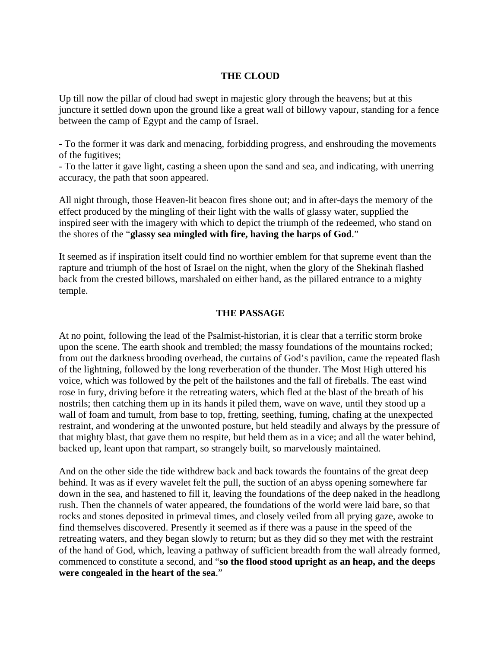## **THE CLOUD**

Up till now the pillar of cloud had swept in majestic glory through the heavens; but at this juncture it settled down upon the ground like a great wall of billowy vapour, standing for a fence between the camp of Egypt and the camp of Israel.

- To the former it was dark and menacing, forbidding progress, and enshrouding the movements of the fugitives;

- To the latter it gave light, casting a sheen upon the sand and sea, and indicating, with unerring accuracy, the path that soon appeared.

All night through, those Heaven-lit beacon fires shone out; and in after-days the memory of the effect produced by the mingling of their light with the walls of glassy water, supplied the inspired seer with the imagery with which to depict the triumph of the redeemed, who stand on the shores of the "**glassy sea mingled with fire, having the harps of God**."

It seemed as if inspiration itself could find no worthier emblem for that supreme event than the rapture and triumph of the host of Israel on the night, when the glory of the Shekinah flashed back from the crested billows, marshaled on either hand, as the pillared entrance to a mighty temple.

#### **THE PASSAGE**

At no point, following the lead of the Psalmist-historian, it is clear that a terrific storm broke upon the scene. The earth shook and trembled; the massy foundations of the mountains rocked; from out the darkness brooding overhead, the curtains of God's pavilion, came the repeated flash of the lightning, followed by the long reverberation of the thunder. The Most High uttered his voice, which was followed by the pelt of the hailstones and the fall of fireballs. The east wind rose in fury, driving before it the retreating waters, which fled at the blast of the breath of his nostrils; then catching them up in its hands it piled them, wave on wave, until they stood up a wall of foam and tumult, from base to top, fretting, seething, fuming, chafing at the unexpected restraint, and wondering at the unwonted posture, but held steadily and always by the pressure of that mighty blast, that gave them no respite, but held them as in a vice; and all the water behind, backed up, leant upon that rampart, so strangely built, so marvelously maintained.

And on the other side the tide withdrew back and back towards the fountains of the great deep behind. It was as if every wavelet felt the pull, the suction of an abyss opening somewhere far down in the sea, and hastened to fill it, leaving the foundations of the deep naked in the headlong rush. Then the channels of water appeared, the foundations of the world were laid bare, so that rocks and stones deposited in primeval times, and closely veiled from all prying gaze, awoke to find themselves discovered. Presently it seemed as if there was a pause in the speed of the retreating waters, and they began slowly to return; but as they did so they met with the restraint of the hand of God, which, leaving a pathway of sufficient breadth from the wall already formed, commenced to constitute a second, and "**so the flood stood upright as an heap, and the deeps were congealed in the heart of the sea**."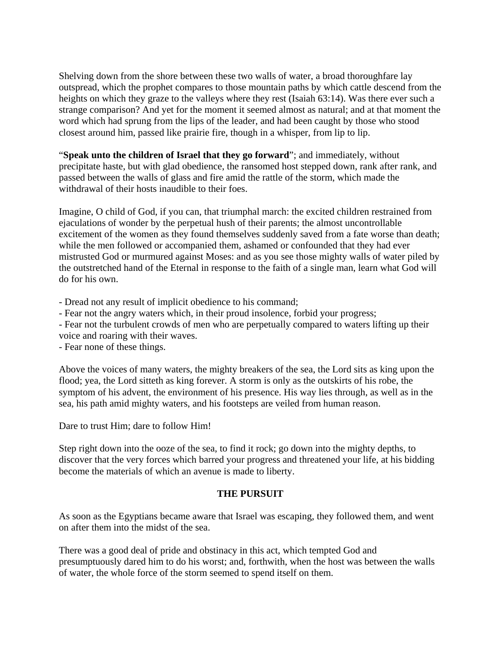Shelving down from the shore between these two walls of water, a broad thoroughfare lay outspread, which the prophet compares to those mountain paths by which cattle descend from the heights on which they graze to the valleys where they rest (Isaiah 63:14). Was there ever such a strange comparison? And yet for the moment it seemed almost as natural; and at that moment the word which had sprung from the lips of the leader, and had been caught by those who stood closest around him, passed like prairie fire, though in a whisper, from lip to lip.

"**Speak unto the children of Israel that they go forward**"; and immediately, without precipitate haste, but with glad obedience, the ransomed host stepped down, rank after rank, and passed between the walls of glass and fire amid the rattle of the storm, which made the withdrawal of their hosts inaudible to their foes.

Imagine, O child of God, if you can, that triumphal march: the excited children restrained from ejaculations of wonder by the perpetual hush of their parents; the almost uncontrollable excitement of the women as they found themselves suddenly saved from a fate worse than death; while the men followed or accompanied them, ashamed or confounded that they had ever mistrusted God or murmured against Moses: and as you see those mighty walls of water piled by the outstretched hand of the Eternal in response to the faith of a single man, learn what God will do for his own.

- Dread not any result of implicit obedience to his command;

- Fear not the angry waters which, in their proud insolence, forbid your progress;
- Fear not the turbulent crowds of men who are perpetually compared to waters lifting up their
- voice and roaring with their waves.
- Fear none of these things.

Above the voices of many waters, the mighty breakers of the sea, the Lord sits as king upon the flood; yea, the Lord sitteth as king forever. A storm is only as the outskirts of his robe, the symptom of his advent, the environment of his presence. His way lies through, as well as in the sea, his path amid mighty waters, and his footsteps are veiled from human reason.

Dare to trust Him; dare to follow Him!

Step right down into the ooze of the sea, to find it rock; go down into the mighty depths, to discover that the very forces which barred your progress and threatened your life, at his bidding become the materials of which an avenue is made to liberty.

## **THE PURSUIT**

As soon as the Egyptians became aware that Israel was escaping, they followed them, and went on after them into the midst of the sea.

There was a good deal of pride and obstinacy in this act, which tempted God and presumptuously dared him to do his worst; and, forthwith, when the host was between the walls of water, the whole force of the storm seemed to spend itself on them.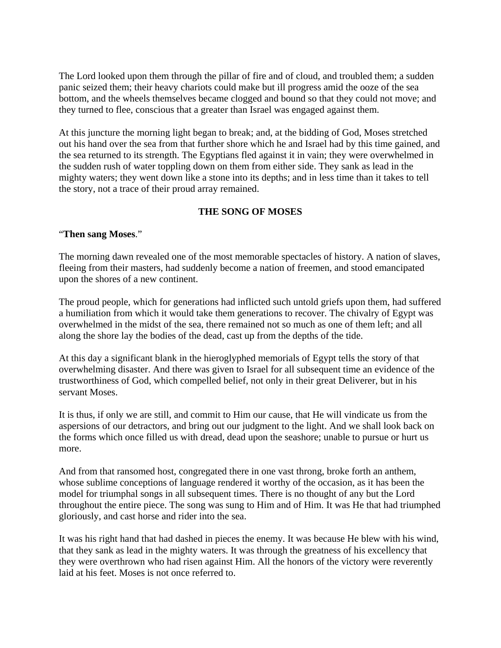The Lord looked upon them through the pillar of fire and of cloud, and troubled them; a sudden panic seized them; their heavy chariots could make but ill progress amid the ooze of the sea bottom, and the wheels themselves became clogged and bound so that they could not move; and they turned to flee, conscious that a greater than Israel was engaged against them.

At this juncture the morning light began to break; and, at the bidding of God, Moses stretched out his hand over the sea from that further shore which he and Israel had by this time gained, and the sea returned to its strength. The Egyptians fled against it in vain; they were overwhelmed in the sudden rush of water toppling down on them from either side. They sank as lead in the mighty waters; they went down like a stone into its depths; and in less time than it takes to tell the story, not a trace of their proud array remained.

## **THE SONG OF MOSES**

#### "**Then sang Moses**."

The morning dawn revealed one of the most memorable spectacles of history. A nation of slaves, fleeing from their masters, had suddenly become a nation of freemen, and stood emancipated upon the shores of a new continent.

The proud people, which for generations had inflicted such untold griefs upon them, had suffered a humiliation from which it would take them generations to recover. The chivalry of Egypt was overwhelmed in the midst of the sea, there remained not so much as one of them left; and all along the shore lay the bodies of the dead, cast up from the depths of the tide.

At this day a significant blank in the hieroglyphed memorials of Egypt tells the story of that overwhelming disaster. And there was given to Israel for all subsequent time an evidence of the trustworthiness of God, which compelled belief, not only in their great Deliverer, but in his servant Moses.

It is thus, if only we are still, and commit to Him our cause, that He will vindicate us from the aspersions of our detractors, and bring out our judgment to the light. And we shall look back on the forms which once filled us with dread, dead upon the seashore; unable to pursue or hurt us more.

And from that ransomed host, congregated there in one vast throng, broke forth an anthem, whose sublime conceptions of language rendered it worthy of the occasion, as it has been the model for triumphal songs in all subsequent times. There is no thought of any but the Lord throughout the entire piece. The song was sung to Him and of Him. It was He that had triumphed gloriously, and cast horse and rider into the sea.

It was his right hand that had dashed in pieces the enemy. It was because He blew with his wind, that they sank as lead in the mighty waters. It was through the greatness of his excellency that they were overthrown who had risen against Him. All the honors of the victory were reverently laid at his feet. Moses is not once referred to.